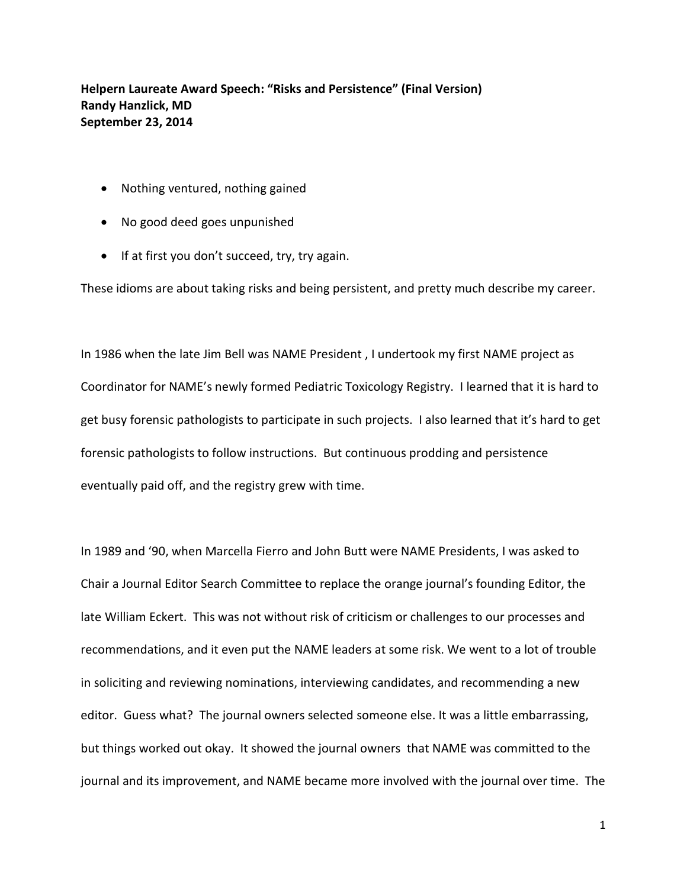**Helpern Laureate Award Speech: "Risks and Persistence" (Final Version) Randy Hanzlick, MD September 23, 2014**

- Nothing ventured, nothing gained
- No good deed goes unpunished
- If at first you don't succeed, try, try again.

These idioms are about taking risks and being persistent, and pretty much describe my career.

In 1986 when the late Jim Bell was NAME President , I undertook my first NAME project as Coordinator for NAME's newly formed Pediatric Toxicology Registry. I learned that it is hard to get busy forensic pathologists to participate in such projects. I also learned that it's hard to get forensic pathologists to follow instructions. But continuous prodding and persistence eventually paid off, and the registry grew with time.

In 1989 and '90, when Marcella Fierro and John Butt were NAME Presidents, I was asked to Chair a Journal Editor Search Committee to replace the orange journal's founding Editor, the late William Eckert. This was not without risk of criticism or challenges to our processes and recommendations, and it even put the NAME leaders at some risk. We went to a lot of trouble in soliciting and reviewing nominations, interviewing candidates, and recommending a new editor. Guess what? The journal owners selected someone else. It was a little embarrassing, but things worked out okay. It showed the journal owners that NAME was committed to the journal and its improvement, and NAME became more involved with the journal over time. The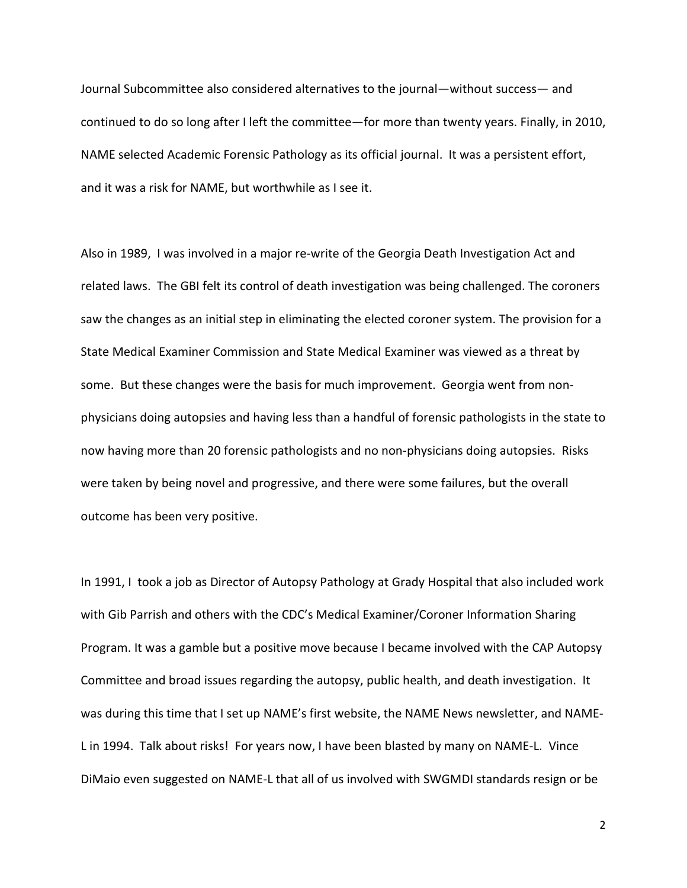Journal Subcommittee also considered alternatives to the journal—without success— and continued to do so long after I left the committee—for more than twenty years. Finally, in 2010, NAME selected Academic Forensic Pathology as its official journal. It was a persistent effort, and it was a risk for NAME, but worthwhile as I see it.

Also in 1989, I was involved in a major re-write of the Georgia Death Investigation Act and related laws. The GBI felt its control of death investigation was being challenged. The coroners saw the changes as an initial step in eliminating the elected coroner system. The provision for a State Medical Examiner Commission and State Medical Examiner was viewed as a threat by some. But these changes were the basis for much improvement. Georgia went from nonphysicians doing autopsies and having less than a handful of forensic pathologists in the state to now having more than 20 forensic pathologists and no non-physicians doing autopsies. Risks were taken by being novel and progressive, and there were some failures, but the overall outcome has been very positive.

In 1991, I took a job as Director of Autopsy Pathology at Grady Hospital that also included work with Gib Parrish and others with the CDC's Medical Examiner/Coroner Information Sharing Program. It was a gamble but a positive move because I became involved with the CAP Autopsy Committee and broad issues regarding the autopsy, public health, and death investigation. It was during this time that I set up NAME's first website, the NAME News newsletter, and NAME-L in 1994. Talk about risks! For years now, I have been blasted by many on NAME-L. Vince DiMaio even suggested on NAME-L that all of us involved with SWGMDI standards resign or be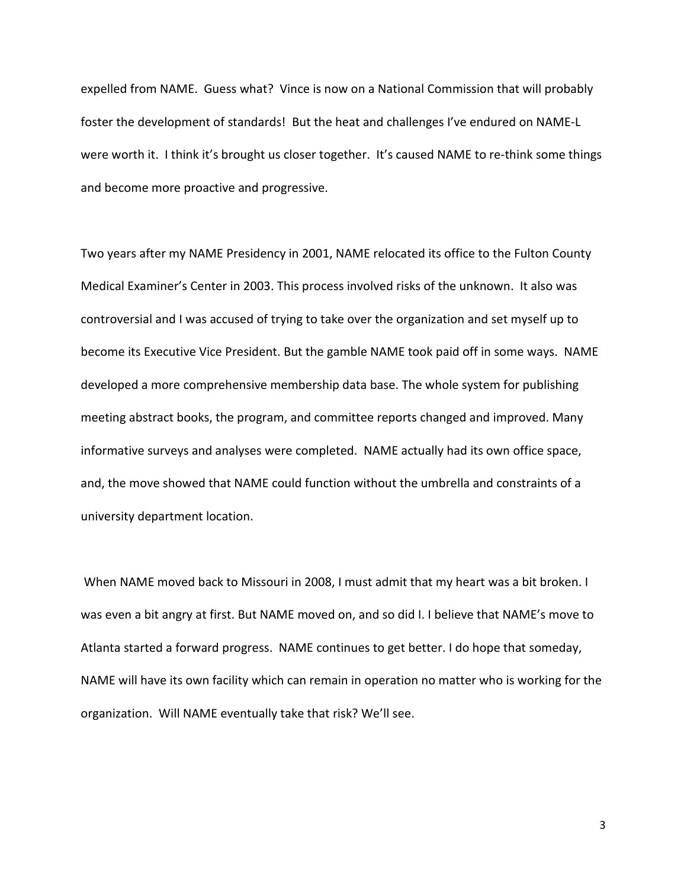expelled from NAME. Guess what? Vince is now on a National Commission that will probably foster the development of standards! But the heat and challenges I've endured on NAME-L were worth it. I think it's brought us closer together. It's caused NAME to re-think some things and become more proactive and progressive.

Two years after my NAME Presidency in 2001, NAME relocated its office to the Fulton County Medical Examiner's Center in 2003. This process involved risks of the unknown. It also was controversial and I was accused of trying to take over the organization and set myself up to become its Executive Vice President. But the gamble NAME took paid off in some ways. NAME developed a more comprehensive membership data base. The whole system for publishing meeting abstract books, the program, and committee reports changed and improved. Many informative surveys and analyses were completed. NAME actually had its own office space, and, the move showed that NAME could function without the umbrella and constraints of a university department location.

When NAME moved back to Missouri in 2008, I must admit that my heart was a bit broken. I was even a bit angry at first. But NAME moved on, and so did I. I believe that NAME's move to Atlanta started a forward progress. NAME continues to get better. I do hope that someday, NAME will have its own facility which can remain in operation no matter who is working for the organization. Will NAME eventually take that risk? We'll see.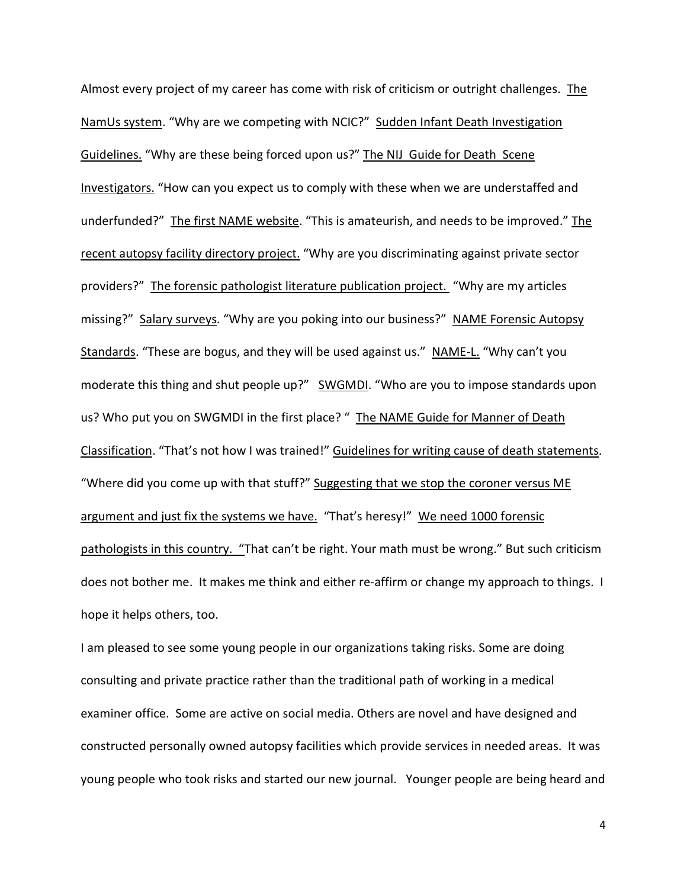Almost every project of my career has come with risk of criticism or outright challenges. The NamUs system. "Why are we competing with NCIC?" Sudden Infant Death Investigation Guidelines. "Why are these being forced upon us?" The NIJ Guide for Death Scene Investigators. "How can you expect us to comply with these when we are understaffed and underfunded?" The first NAME website. "This is amateurish, and needs to be improved." The recent autopsy facility directory project. "Why are you discriminating against private sector providers?" The forensic pathologist literature publication project. "Why are my articles missing?" Salary surveys. "Why are you poking into our business?" NAME Forensic Autopsy Standards. "These are bogus, and they will be used against us." NAME-L. "Why can't you moderate this thing and shut people up?" SWGMDI. "Who are you to impose standards upon us? Who put you on SWGMDI in the first place? " The NAME Guide for Manner of Death Classification. "That's not how I was trained!" Guidelines for writing cause of death statements. "Where did you come up with that stuff?" Suggesting that we stop the coroner versus ME argument and just fix the systems we have. "That's heresy!" We need 1000 forensic pathologists in this country. "That can't be right. Your math must be wrong." But such criticism does not bother me. It makes me think and either re-affirm or change my approach to things. I hope it helps others, too.

I am pleased to see some young people in our organizations taking risks. Some are doing consulting and private practice rather than the traditional path of working in a medical examiner office. Some are active on social media. Others are novel and have designed and constructed personally owned autopsy facilities which provide services in needed areas. It was young people who took risks and started our new journal. Younger people are being heard and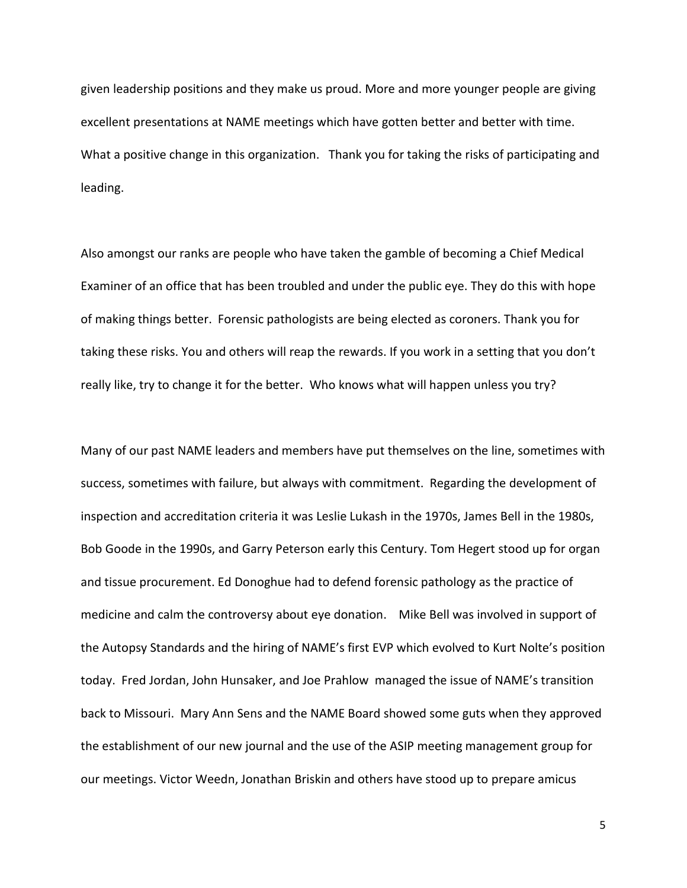given leadership positions and they make us proud. More and more younger people are giving excellent presentations at NAME meetings which have gotten better and better with time. What a positive change in this organization. Thank you for taking the risks of participating and leading.

Also amongst our ranks are people who have taken the gamble of becoming a Chief Medical Examiner of an office that has been troubled and under the public eye. They do this with hope of making things better. Forensic pathologists are being elected as coroners. Thank you for taking these risks. You and others will reap the rewards. If you work in a setting that you don't really like, try to change it for the better. Who knows what will happen unless you try?

Many of our past NAME leaders and members have put themselves on the line, sometimes with success, sometimes with failure, but always with commitment. Regarding the development of inspection and accreditation criteria it was Leslie Lukash in the 1970s, James Bell in the 1980s, Bob Goode in the 1990s, and Garry Peterson early this Century. Tom Hegert stood up for organ and tissue procurement. Ed Donoghue had to defend forensic pathology as the practice of medicine and calm the controversy about eye donation. Mike Bell was involved in support of the Autopsy Standards and the hiring of NAME's first EVP which evolved to Kurt Nolte's position today. Fred Jordan, John Hunsaker, and Joe Prahlow managed the issue of NAME's transition back to Missouri. Mary Ann Sens and the NAME Board showed some guts when they approved the establishment of our new journal and the use of the ASIP meeting management group for our meetings. Victor Weedn, Jonathan Briskin and others have stood up to prepare amicus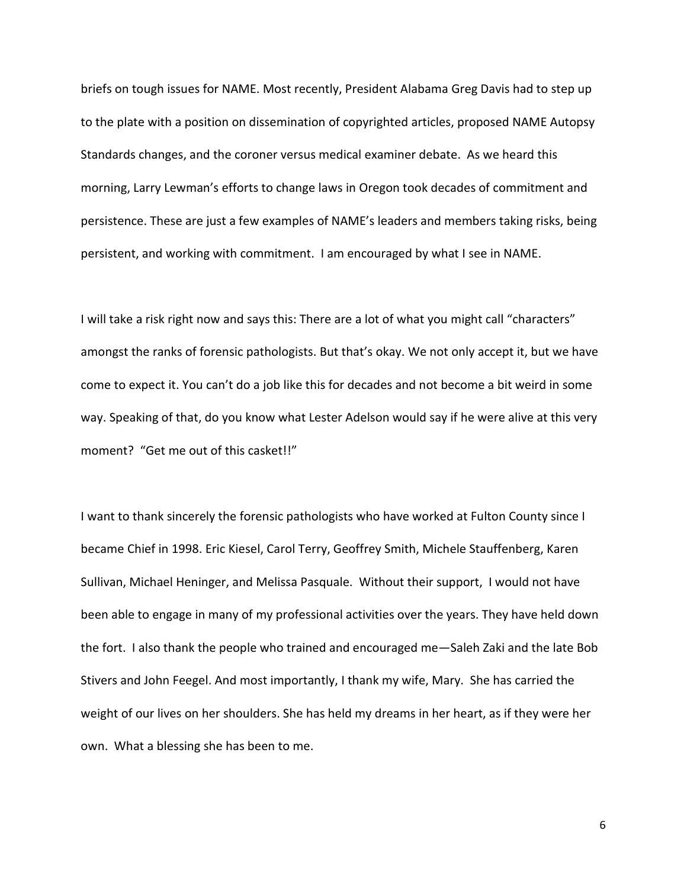briefs on tough issues for NAME. Most recently, President Alabama Greg Davis had to step up to the plate with a position on dissemination of copyrighted articles, proposed NAME Autopsy Standards changes, and the coroner versus medical examiner debate. As we heard this morning, Larry Lewman's efforts to change laws in Oregon took decades of commitment and persistence. These are just a few examples of NAME's leaders and members taking risks, being persistent, and working with commitment. I am encouraged by what I see in NAME.

I will take a risk right now and says this: There are a lot of what you might call "characters" amongst the ranks of forensic pathologists. But that's okay. We not only accept it, but we have come to expect it. You can't do a job like this for decades and not become a bit weird in some way. Speaking of that, do you know what Lester Adelson would say if he were alive at this very moment? "Get me out of this casket!!"

I want to thank sincerely the forensic pathologists who have worked at Fulton County since I became Chief in 1998. Eric Kiesel, Carol Terry, Geoffrey Smith, Michele Stauffenberg, Karen Sullivan, Michael Heninger, and Melissa Pasquale. Without their support, I would not have been able to engage in many of my professional activities over the years. They have held down the fort. I also thank the people who trained and encouraged me—Saleh Zaki and the late Bob Stivers and John Feegel. And most importantly, I thank my wife, Mary. She has carried the weight of our lives on her shoulders. She has held my dreams in her heart, as if they were her own. What a blessing she has been to me.